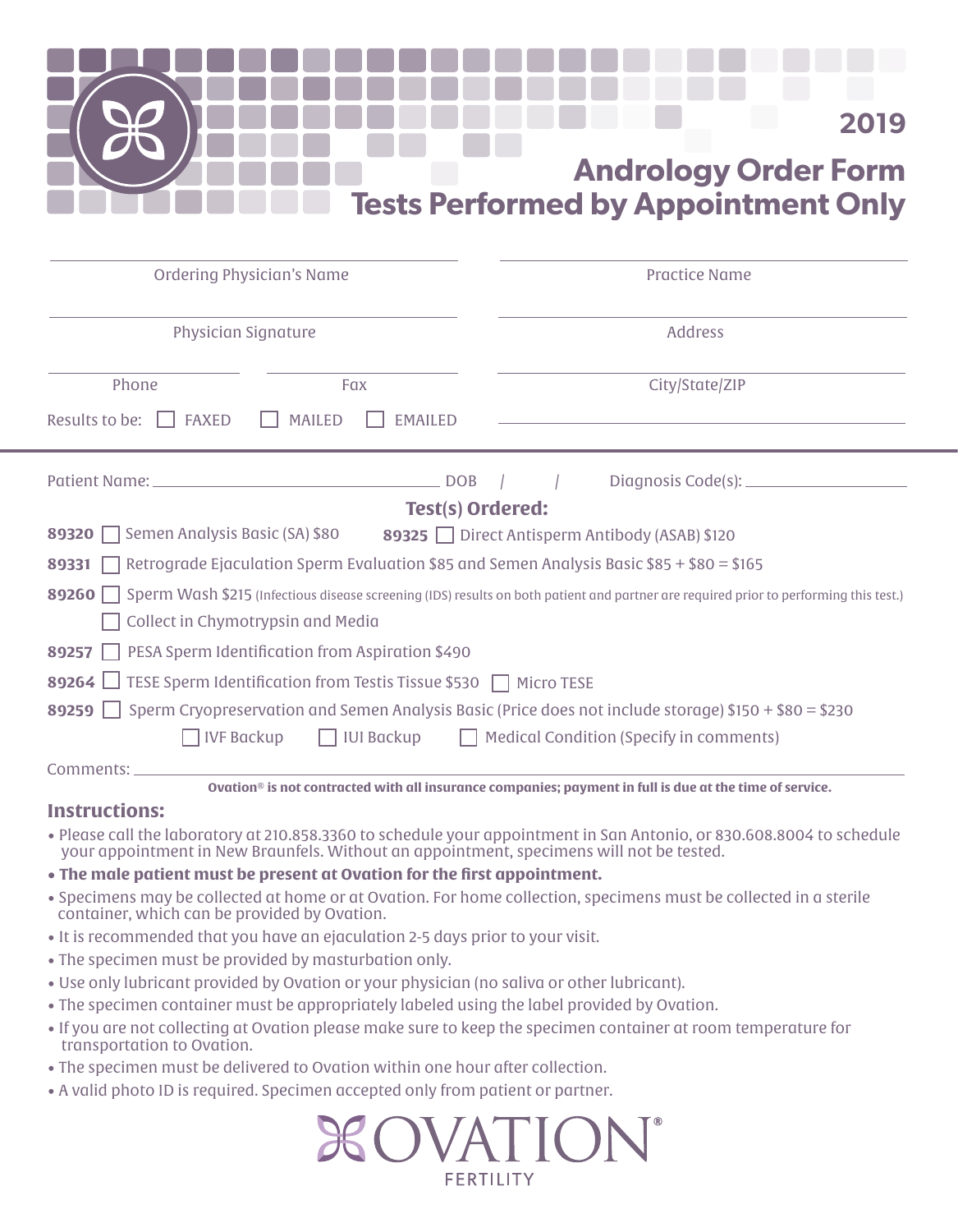

| <b>Ordering Physician's Name</b>                                                                                                            |     | <b>Practice Name</b> |                |
|---------------------------------------------------------------------------------------------------------------------------------------------|-----|----------------------|----------------|
| <b>Physician Signature</b>                                                                                                                  |     | <b>Address</b>       |                |
| Phone                                                                                                                                       | Fax |                      | City/State/ZIP |
| Results to be: $\Box$ FAXED<br><b>MAILED</b><br>EMAILED                                                                                     |     |                      |                |
|                                                                                                                                             |     |                      |                |
| <b>Test(s) Ordered:</b>                                                                                                                     |     |                      |                |
| 89320 Semen Analysis Basic (SA) \$80<br>89325 Direct Antisperm Antibody (ASAB) \$120                                                        |     |                      |                |
| <b>89331</b> Retrograde Ejaculation Sperm Evaluation \$85 and Semen Analysis Basic \$85 + \$80 = \$165                                      |     |                      |                |
| 89260 Sperm Wash \$215 (Infectious disease screening (IDS) results on both patient and partner are required prior to performing this test.) |     |                      |                |
| Collect in Chymotrypsin and Media                                                                                                           |     |                      |                |
| 89257   PESA Sperm Identification from Aspiration \$490                                                                                     |     |                      |                |
| 89264 $\Box$ TESE Sperm Identification from Testis Tissue \$530 ∏ Micro TESE                                                                |     |                      |                |
| 89259 Sperm Cryopreservation and Semen Analysis Basic (Price does not include storage) \$150 + \$80 = \$230                                 |     |                      |                |
| IUI Backup   Medical Condition (Specify in comments)<br><b>IVF</b> Backup                                                                   |     |                      |                |
| Comments: ___________                                                                                                                       |     |                      |                |
| Ovation® is not contracted with all insurance companies; payment in full is due at the time of service.                                     |     |                      |                |
| Inetruetione:                                                                                                                               |     |                      |                |

### **Instructions:**

- Please call the laboratory at 210.858.3360 to schedule your appointment in San Antonio, or 830.608.8004 to schedule your appointment in New Braunfels. Without an appointment, specimens will not be tested.
- **The male patient must be present at Ovation for the first appointment.**
- Specimens may be collected at home or at Ovation. For home collection, specimens must be collected in a sterile container, which can be provided by Ovation.
- It is recommended that you have an ejaculation 2-5 days prior to your visit.
- The specimen must be provided by masturbation only.
- Use only lubricant provided by Ovation or your physician (no saliva or other lubricant).
- The specimen container must be appropriately labeled using the label provided by Ovation.
- If you are not collecting at Ovation please make sure to keep the specimen container at room temperature for transportation to Ovation.
- The specimen must be delivered to Ovation within one hour after collection.
- A valid photo ID is required. Specimen accepted only from patient or partner.

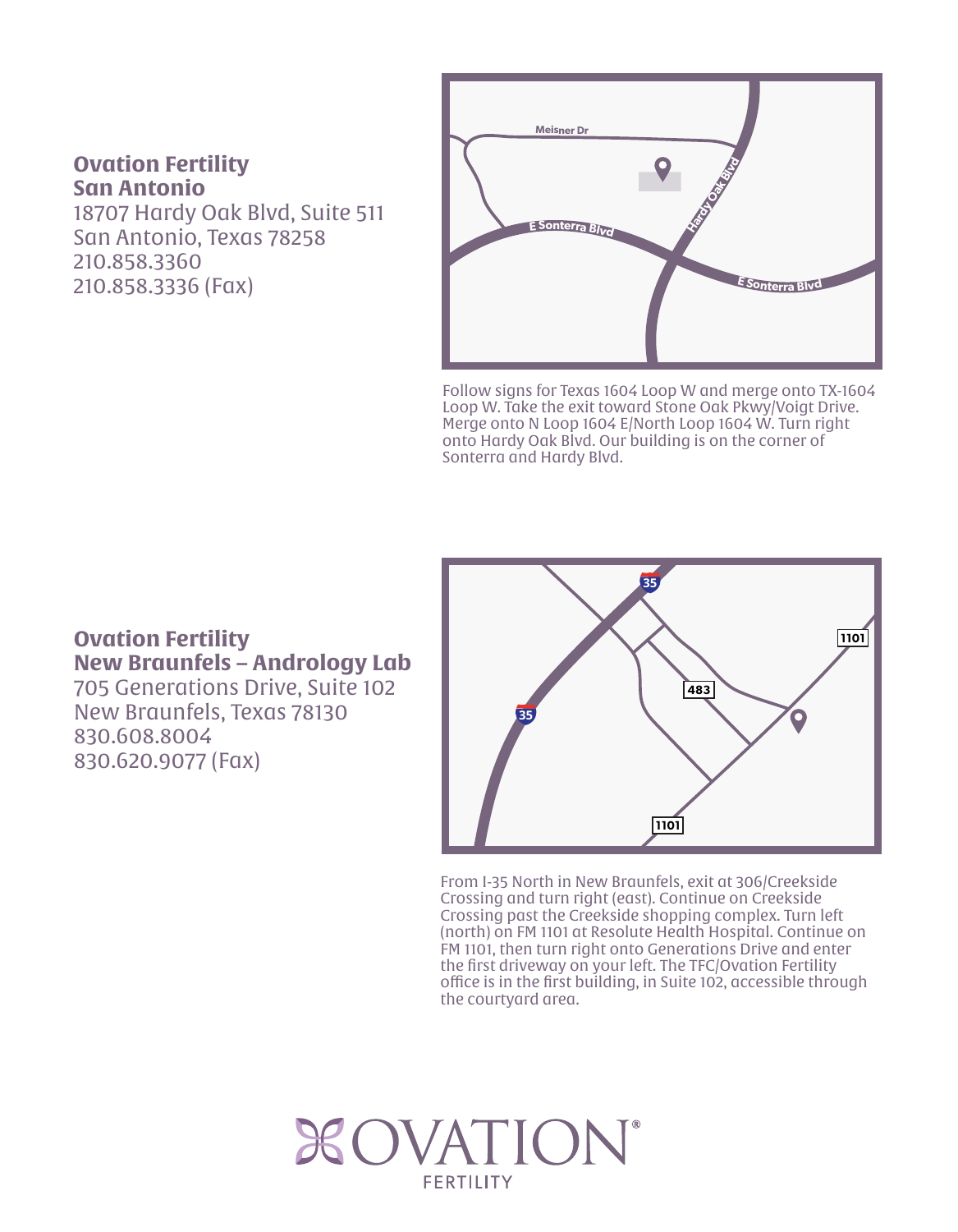### **Ovation Fertility San Antonio**

18707 Hardy Oak Blvd, Suite 511 San Antonio, Texas 78258 210.858.3360 210.858.3336 (Fax)



Follow signs for Texas 1604 Loop W and merge onto TX-1604 Loop W. Take the exit toward Stone Oak Pkwy/Voigt Drive. Merge onto N Loop 1604 E/North Loop 1604 W. Turn right onto Hardy Oak Blvd. Our building is on the corner of Sonterra and Hardy Blvd.

## **Ovation Fertility New Braunfels – Andrology Lab**

705 Generations Drive, Suite 102 New Braunfels, Texas 78130 830.608.8004 830.620.9077 (Fax)



From I-35 North in New Braunfels, exit at 306/Creekside Crossing and turn right (east). Continue on Creekside Crossing past the Creekside shopping complex. Turn left (north) on FM 1101 at Resolute Health Hospital. Continue on FM 1101, then turn right onto Generations Drive and enter the first driveway on your left. The TFC/Ovation Fertility office is in the first building, in Suite 102, accessible through the courtyard area.